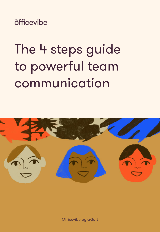õfficevibe

# The 4 steps guide to powerful team communication



Officevibe by GSoft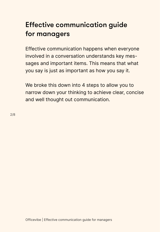### Effective communication guide for managers

Effective communication happens when everyone involved in a conversation understands key messages and important items. This means that what you say is just as important as how you say it.

We broke this down into 4 steps to allow you to narrow down your thinking to achieve clear, concise and well thought out communication.

2/8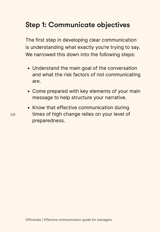### Step 1: Communicate objectives

The first step in developing clear communication is understanding what exactly you're trying to say. We narrowed this down into the following steps:

- Understand the main goal of the conversation and what the risk factors of not communicating are.
- Come prepared with key elements of your main message to help structure your narrative.
- Know that effective communication during times of high change relies on your level of preparedness.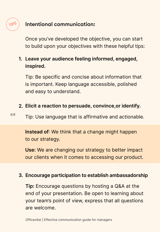#### Intentional communication:

TIPS

Once you've developed the objective, you can start to build upon your objectives with these helpful tips:

#### **Leave your audience feeling informed, engaged, 1. inspired.**

Tip: Be specific and concise about information that is important. Keep language accessible, polished and easy to understand.

#### **Elicit a reaction to persuade, convince,or identify. 2.**

4/8 Tip: Use language that is affirmative and actionable.

> **Instead of**: We think that a change might happen to our strategy.

**Use:** We are changing our strategy to better impact our clients when it comes to accessing our product.

#### **Encourage participation to establish ambassadorship 3.**

**Tip:** Encourage questions by hosting a Q&A at the end of your presentation. Be open to learning about your team's point of view, express that all questions are welcome.

Officevibe | Effective communication guide for managers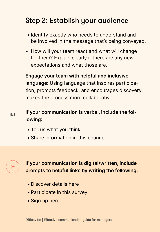### Step 2: Establish your audience

- Identify exactly who needs to understand and be involved in the message that's being conveyed.
- How will your team react and what will change for them? Explain clearly if there are any new expectations and what those are.

**Engage your team with helpful and inclusive language:** Using language that inspires participation, prompts feedback, and encourages discovery, makes the process more collaborative.

#### **If your communication is verbal, include the following:**

- Tell us what you think
- Share information in this channel



**If your communication is digital/written, include prompts to helpful links by writing the following:** 

- Discover details here
- Participate in this survey
- Sign up here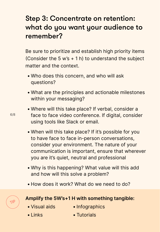#### Step 3: Concentrate on retention: what do you want your audience to remember?

Be sure to prioritize and establish high priority items (Consider the 5 w's  $+$  1 h) to understand the subject matter and the context.

- Who does this concern, and who will ask questions?
- What are the principles and actionable milestones within your messaging?
- Where will this take place? If verbal, consider a face to face video conference. If digital, consider using tools like Slack or email.
- When will this take place? If it's possible for you to have face to face in-person conversations, consider your environment. The nature of your communication is important, ensure that wherever you are it's quiet, neutral and professional
- Why is this happening? What value will this add and how will this solve a problem?
- How does it work? What do we need to do?

#### TIP **Amplify the 5W's+1 H with something tangible:**

- Visual aids
- Infographics

• Links

• Tutorials

6/8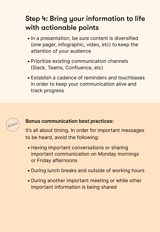## Step 4: Bring your information to life with actionable points

- In a presentation, be sure content is diversified (one pager, infographic, video, etc) to keep the attention of your audience
- Prioritize existing communication channels (Slack, Teams, Confluence, etc)
- Establish a cadence of reminders and touchbases in order to keep your communication alive and track progress



## **BONUS Bonus communication best practices:**

It's all about timing. In order for important messages to be heard, avoid the following:

- Having important conversations or sharing important communication on Monday mornings or Friday afternoons
- During lunch breaks and outside of working hours
- During another important meeting or while other important information is being shared